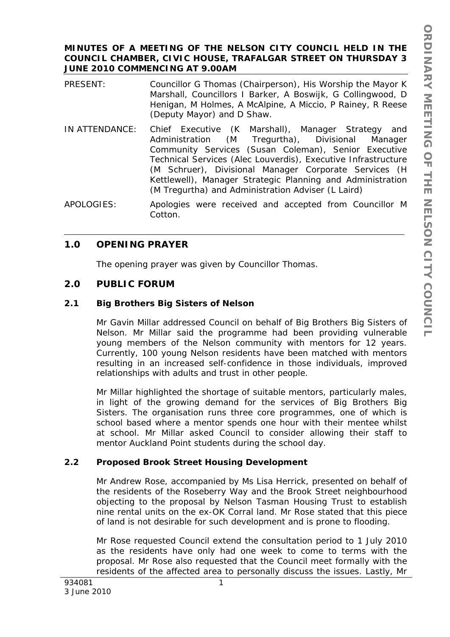# **MINUTES OF A MEETING OF THE NELSON CITY COUNCIL HELD IN THE COUNCIL CHAMBER, CIVIC HOUSE, TRAFALGAR STREET ON THURSDAY 3 JUNE 2010 COMMENCING AT 9.00AM**

- PRESENT: Councillor G Thomas (Chairperson), His Worship the Mayor K Marshall, Councillors I Barker, A Boswijk, G Collingwood, D Henigan, M Holmes, A McAlpine, A Miccio, P Rainey, R Reese (Deputy Mayor) and D Shaw.
- IN ATTENDANCE: Chief Executive (K Marshall), Manager Strategy and Administration (M Tregurtha), Divisional Manager Community Services (Susan Coleman), Senior Executive Technical Services (Alec Louverdis), Executive Infrastructure (M Schruer), Divisional Manager Corporate Services (H Kettlewell), Manager Strategic Planning and Administration (M Tregurtha) and Administration Adviser (L Laird)
- APOLOGIES: Apologies were received and accepted from Councillor M Cotton.

# **1.0 OPENING PRAYER**

The opening prayer was given by Councillor Thomas.

# **2.0 PUBLIC FORUM**

# **2.1 Big Brothers Big Sisters of Nelson**

Mr Gavin Millar addressed Council on behalf of Big Brothers Big Sisters of Nelson. Mr Millar said the programme had been providing vulnerable young members of the Nelson community with mentors for 12 years. Currently, 100 young Nelson residents have been matched with mentors resulting in an increased self-confidence in those individuals, improved relationships with adults and trust in other people.

Mr Millar highlighted the shortage of suitable mentors, particularly males, in light of the growing demand for the services of Big Brothers Big Sisters. The organisation runs three core programmes, one of which is school based where a mentor spends one hour with their mentee whilst at school. Mr Millar asked Council to consider allowing their staff to mentor Auckland Point students during the school day.

# **2.2 Proposed Brook Street Housing Development**

Mr Andrew Rose, accompanied by Ms Lisa Herrick, presented on behalf of the residents of the Roseberry Way and the Brook Street neighbourhood objecting to the proposal by Nelson Tasman Housing Trust to establish nine rental units on the ex-OK Corral land. Mr Rose stated that this piece of land is not desirable for such development and is prone to flooding.

Mr Rose requested Council extend the consultation period to 1 July 2010 as the residents have only had one week to come to terms with the proposal. Mr Rose also requested that the Council meet formally with the residents of the affected area to personally discuss the issues. Lastly, Mr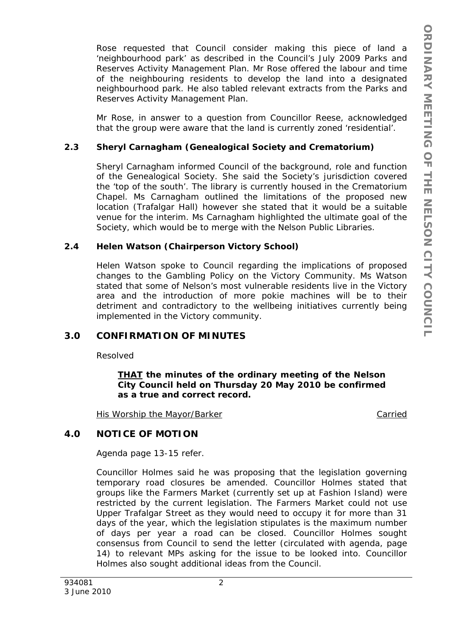Rose requested that Council consider making this piece of land a 'neighbourhood park' as described in the Council's July 2009 Parks and Reserves Activity Management Plan. Mr Rose offered the labour and time of the neighbouring residents to develop the land into a designated neighbourhood park. He also tabled relevant extracts from the Parks and Reserves Activity Management Plan.

Mr Rose, in answer to a question from Councillor Reese, acknowledged that the group were aware that the land is currently zoned 'residential'.

# **2.3 Sheryl Carnagham (Genealogical Society and Crematorium)**

Sheryl Carnagham informed Council of the background, role and function of the Genealogical Society. She said the Society's jurisdiction covered the 'top of the south'. The library is currently housed in the Crematorium Chapel. Ms Carnagham outlined the limitations of the proposed new location (Trafalgar Hall) however she stated that it would be a suitable venue for the interim. Ms Carnagham highlighted the ultimate goal of the Society, which would be to merge with the Nelson Public Libraries.

# **2.4 Helen Watson (Chairperson Victory School)**

Helen Watson spoke to Council regarding the implications of proposed changes to the Gambling Policy on the Victory Community. Ms Watson stated that some of Nelson's most vulnerable residents live in the Victory area and the introduction of more pokie machines will be to their detriment and contradictory to the wellbeing initiatives currently being implemented in the Victory community.

# **3.0 CONFIRMATION OF MINUTES**

Resolved

*THAT the minutes of the ordinary meeting of the Nelson City Council held on Thursday 20 May 2010 be confirmed as a true and correct record.* 

His Worship the Mayor/Barker Carried Carried

# **4.0 NOTICE OF MOTION**

Agenda page 13-15 refer.

Councillor Holmes said he was proposing that the legislation governing temporary road closures be amended. Councillor Holmes stated that groups like the Farmers Market (currently set up at Fashion Island) were restricted by the current legislation. The Farmers Market could not use Upper Trafalgar Street as they would need to occupy it for more than 31 days of the year, which the legislation stipulates is the maximum number of days per year a road can be closed. Councillor Holmes sought consensus from Council to send the letter (circulated with agenda, page 14) to relevant MPs asking for the issue to be looked into. Councillor Holmes also sought additional ideas from the Council.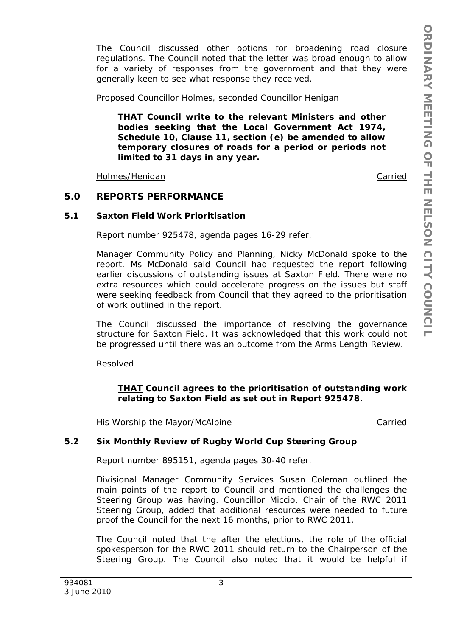The Council discussed other options for broadening road closure regulations. The Council noted that the letter was broad enough to allow for a variety of responses from the government and that they were generally keen to see what response they received.

Proposed Councillor Holmes, seconded Councillor Henigan

*THAT Council write to the relevant Ministers and other bodies seeking that the Local Government Act 1974, Schedule 10, Clause 11, section (e) be amended to allow temporary closures of roads for a period or periods not limited to 31 days in any year.* 

Holmes/Henigan **Carried** 

# **5.0 REPORTS PERFORMANCE**

### **5.1 Saxton Field Work Prioritisation**

Report number 925478, agenda pages 16-29 refer.

Manager Community Policy and Planning, Nicky McDonald spoke to the report. Ms McDonald said Council had requested the report following earlier discussions of outstanding issues at Saxton Field. There were no extra resources which could accelerate progress on the issues but staff were seeking feedback from Council that they agreed to the prioritisation of work outlined in the report.

The Council discussed the importance of resolving the governance structure for Saxton Field. It was acknowledged that this work could not be progressed until there was an outcome from the Arms Length Review.

Resolved

# *THAT Council agrees to the prioritisation of outstanding work relating to Saxton Field as set out in Report 925478.*

His Worship the Mayor/McAlpine Carried

# **5.2 Six Monthly Review of Rugby World Cup Steering Group**

Report number 895151, agenda pages 30-40 refer.

Divisional Manager Community Services Susan Coleman outlined the main points of the report to Council and mentioned the challenges the Steering Group was having. Councillor Miccio, Chair of the RWC 2011 Steering Group, added that additional resources were needed to future proof the Council for the next 16 months, prior to RWC 2011.

The Council noted that the after the elections, the role of the official spokesperson for the RWC 2011 should return to the Chairperson of the Steering Group. The Council also noted that it would be helpful if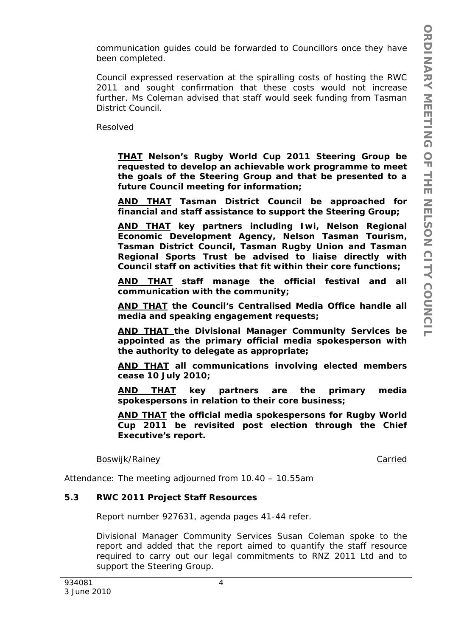communication guides could be forwarded to Councillors once they have been completed.

Council expressed reservation at the spiralling costs of hosting the RWC 2011 and sought confirmation that these costs would not increase further. Ms Coleman advised that staff would seek funding from Tasman District Council.

Resolved

*THAT Nelson's Rugby World Cup 2011 Steering Group be requested to develop an achievable work programme to meet the goals of the Steering Group and that be presented to a future Council meeting for information;* 

*AND THAT Tasman District Council be approached for financial and staff assistance to support the Steering Group;* 

*AND THAT key partners including Iwi, Nelson Regional Economic Development Agency, Nelson Tasman Tourism, Tasman District Council, Tasman Rugby Union and Tasman Regional Sports Trust be advised to liaise directly with Council staff on activities that fit within their core functions;* 

*AND THAT staff manage the official festival and all communication with the community;* 

*AND THAT the Council's Centralised Media Office handle all media and speaking engagement requests;* 

*AND THAT the Divisional Manager Community Services be appointed as the primary official media spokesperson with the authority to delegate as appropriate;* 

*AND THAT all communications involving elected members cease 10 July 2010;* 

*AND THAT key partners are the primary media spokespersons in relation to their core business;* 

*AND THAT the official media spokespersons for Rugby World Cup 2011 be revisited post election through the Chief Executive's report.* 

Boswijk/Rainey Carried

Attendance: The meeting adjourned from 10.40 – 10.55am

#### **5.3 RWC 2011 Project Staff Resources**

Report number 927631, agenda pages 41-44 refer.

Divisional Manager Community Services Susan Coleman spoke to the report and added that the report aimed to quantify the staff resource required to carry out our legal commitments to RNZ 2011 Ltd and to support the Steering Group.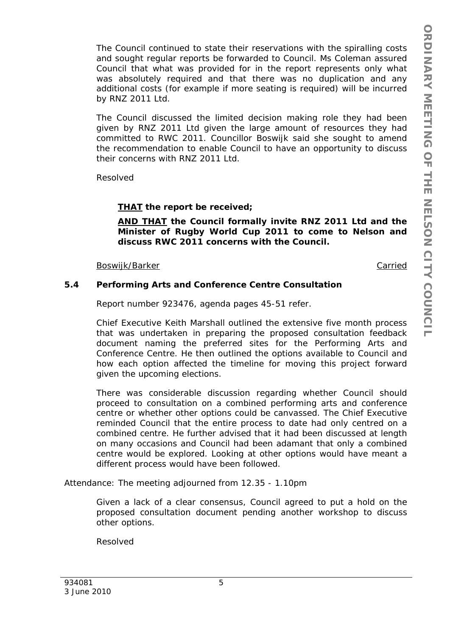The Council continued to state their reservations with the spiralling costs and sought regular reports be forwarded to Council. Ms Coleman assured Council that what was provided for in the report represents only what was absolutely required and that there was no duplication and any additional costs (for example if more seating is required) will be incurred by RNZ 2011 Ltd.

The Council discussed the limited decision making role they had been given by RNZ 2011 Ltd given the large amount of resources they had committed to RWC 2011. Councillor Boswijk said she sought to amend the recommendation to enable Council to have an opportunity to discuss their concerns with RNZ 2011 Ltd.

Resolved

# *THAT the report be received;*

*AND THAT the Council formally invite RNZ 2011 Ltd and the Minister of Rugby World Cup 2011 to come to Nelson and discuss RWC 2011 concerns with the Council.* 

Boswijk/Barker Carried

# **5.4 Performing Arts and Conference Centre Consultation**

Report number 923476, agenda pages 45-51 refer.

Chief Executive Keith Marshall outlined the extensive five month process that was undertaken in preparing the proposed consultation feedback document naming the preferred sites for the Performing Arts and Conference Centre. He then outlined the options available to Council and how each option affected the timeline for moving this project forward given the upcoming elections.

There was considerable discussion regarding whether Council should proceed to consultation on a combined performing arts and conference centre or whether other options could be canvassed. The Chief Executive reminded Council that the entire process to date had only centred on a combined centre. He further advised that it had been discussed at length on many occasions and Council had been adamant that only a combined centre would be explored. Looking at other options would have meant a different process would have been followed.

Attendance: The meeting adjourned from 12.35 - 1.10pm

Given a lack of a clear consensus, Council agreed to put a hold on the proposed consultation document pending another workshop to discuss other options.

Resolved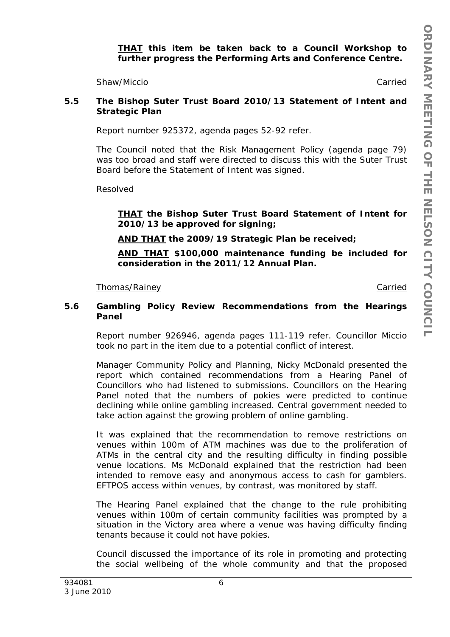*THAT this item be taken back to a Council Workshop to further progress the Performing Arts and Conference Centre.* 

Shaw/Miccio Carried

### **5.5 The Bishop Suter Trust Board 2010/13 Statement of Intent and Strategic Plan**

Report number 925372, agenda pages 52-92 refer.

The Council noted that the Risk Management Policy (agenda page 79) was too broad and staff were directed to discuss this with the Suter Trust Board before the Statement of Intent was signed.

Resolved

*THAT the Bishop Suter Trust Board Statement of Intent for 2010/13 be approved for signing;* 

*AND THAT the 2009/19 Strategic Plan be received;* 

*AND THAT \$100,000 maintenance funding be included for consideration in the 2011/12 Annual Plan.* 

#### Thomas/Rainey **Carried**

#### **5.6 Gambling Policy Review Recommendations from the Hearings Panel**

Report number 926946, agenda pages 111-119 refer. Councillor Miccio took no part in the item due to a potential conflict of interest.

Manager Community Policy and Planning, Nicky McDonald presented the report which contained recommendations from a Hearing Panel of Councillors who had listened to submissions. Councillors on the Hearing Panel noted that the numbers of pokies were predicted to continue declining while online gambling increased. Central government needed to take action against the growing problem of online gambling.

It was explained that the recommendation to remove restrictions on venues within 100m of ATM machines was due to the proliferation of ATMs in the central city and the resulting difficulty in finding possible venue locations. Ms McDonald explained that the restriction had been intended to remove easy and anonymous access to cash for gamblers. EFTPOS access within venues, by contrast, was monitored by staff.

The Hearing Panel explained that the change to the rule prohibiting venues within 100m of certain community facilities was prompted by a situation in the Victory area where a venue was having difficulty finding tenants because it could not have pokies.

Council discussed the importance of its role in promoting and protecting the social wellbeing of the whole community and that the proposed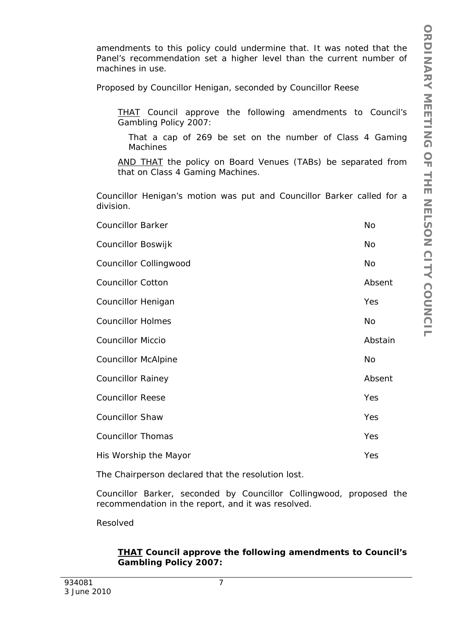amendments to this policy could undermine that. It was noted that the Panel's recommendation set a higher level than the current number of machines in use.

Proposed by Councillor Henigan, seconded by Councillor Reese

*THAT Council approve the following amendments to Council's Gambling Policy 2007:* 

*That a cap of 269 be set on the number of Class 4 Gaming Machines* 

*AND THAT the policy on Board Venues (TABs) be separated from that on Class 4 Gaming Machines.* 

Councillor Henigan's motion was put and Councillor Barker called for a division.

| <b>Councillor Barker</b>   | No        |
|----------------------------|-----------|
| Councillor Boswijk         | No        |
| Councillor Collingwood     | No        |
| <b>Councillor Cotton</b>   | Absent    |
| Councillor Henigan         | Yes       |
| <b>Councillor Holmes</b>   | <b>No</b> |
| <b>Councillor Miccio</b>   | Abstain   |
| <b>Councillor McAlpine</b> | No        |
| <b>Councillor Rainey</b>   | Absent    |
| <b>Councillor Reese</b>    | Yes       |
| <b>Councillor Shaw</b>     | Yes       |
| <b>Councillor Thomas</b>   | Yes       |
| His Worship the Mayor      | Yes       |

The Chairperson declared that the resolution lost.

Councillor Barker, seconded by Councillor Collingwood, proposed the recommendation in the report, and it was resolved.

Resolved

# *THAT Council approve the following amendments to Council's Gambling Policy 2007:*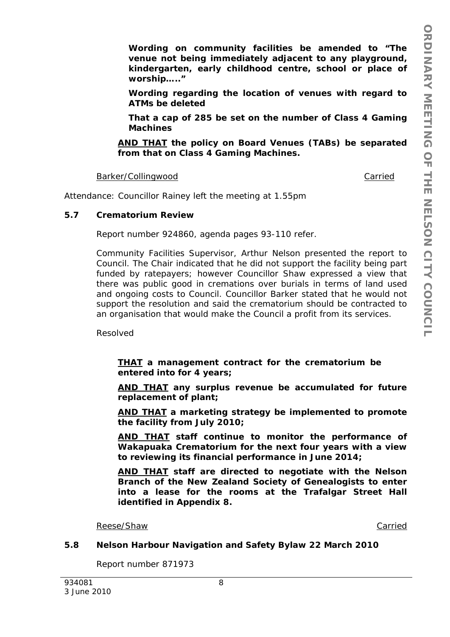*Wording on community facilities be amended to "The venue not being immediately adjacent to any playground, kindergarten, early childhood centre, school or place of worship….."* 

*Wording regarding the location of venues with regard to ATMs be deleted* 

*That a cap of 285 be set on the number of Class 4 Gaming Machines* 

*AND THAT the policy on Board Venues (TABs) be separated from that on Class 4 Gaming Machines.* 

Barker/Collingwood **Carried** 

Attendance: Councillor Rainey left the meeting at 1.55pm

### **5.7 Crematorium Review**

Report number 924860, agenda pages 93-110 refer.

Community Facilities Supervisor, Arthur Nelson presented the report to Council. The Chair indicated that he did not support the facility being part funded by ratepayers; however Councillor Shaw expressed a view that there was public good in cremations over burials in terms of land used and ongoing costs to Council. Councillor Barker stated that he would not support the resolution and said the crematorium should be contracted to an organisation that would make the Council a profit from its services.

Resolved

*THAT a management contract for the crematorium be entered into for 4 years;* 

*AND THAT any surplus revenue be accumulated for future replacement of plant;* 

*AND THAT a marketing strategy be implemented to promote the facility from July 2010;* 

*AND THAT staff continue to monitor the performance of Wakapuaka Crematorium for the next four years with a view to reviewing its financial performance in June 2014;* 

*AND THAT staff are directed to negotiate with the Nelson Branch of the New Zealand Society of Genealogists to enter into a lease for the rooms at the Trafalgar Street Hall identified in Appendix 8.* 

Reese/Shaw Carried Carried Carried Carried Carried Carried Carried Carried Carried Carried Carried Carried Carried Carried Carried Carried Carried Carried Carried Carried Carried Carried Carried Carried Carried Carried Car

#### **5.8 Nelson Harbour Navigation and Safety Bylaw 22 March 2010**

Report number 871973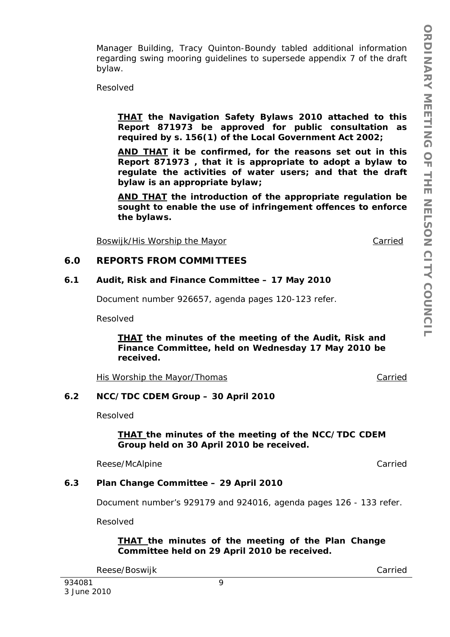Manager Building, Tracy Quinton-Boundy tabled additional information regarding swing mooring guidelines to supersede appendix 7 of the draft bylaw.

Resolved

*THAT the Navigation Safety Bylaws 2010 attached to this Report 871973 be approved for public consultation as required by s. 156(1) of the Local Government Act 2002;* 

*AND THAT it be confirmed, for the reasons set out in this Report 871973 , that it is appropriate to adopt a bylaw to regulate the activities of water users; and that the draft bylaw is an appropriate bylaw;* 

*AND THAT the introduction of the appropriate regulation be sought to enable the use of infringement offences to enforce the bylaws.* 

Boswijk/His Worship the Mayor Carried Carried

#### **6.0 REPORTS FROM COMMITTEES**

#### **6.1 Audit, Risk and Finance Committee – 17 May 2010**

Document number 926657, agenda pages 120-123 refer.

Resolved

*THAT the minutes of the meeting of the Audit, Risk and Finance Committee, held on Wednesday 17 May 2010 be received.* 

His Worship the Mayor/Thomas Carried

#### **6.2 NCC/TDC CDEM Group – 30 April 2010**

Resolved

*THAT the minutes of the meeting of the NCC/TDC CDEM Group held on 30 April 2010 be received.* 

Reese/McAlpine **Carried** 

#### **6.3 Plan Change Committee – 29 April 2010**

Document number's 929179 and 924016, agenda pages 126 - 133 refer.

Resolved

*THAT the minutes of the meeting of the Plan Change Committee held on 29 April 2010 be received.* 

Reese/Boswijk Carried Carried Carried Carried Carried Carried Carried Carried Carried Carried Carried Carried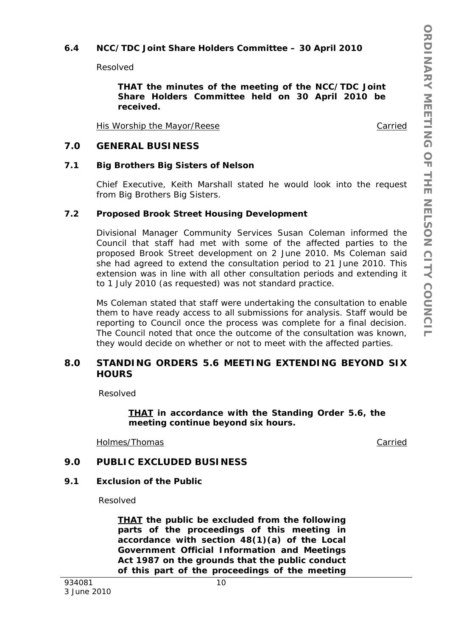# **6.4 NCC/TDC Joint Share Holders Committee – 30 April 2010**

Resolved

*THAT the minutes of the meeting of the NCC/TDC Joint Share Holders Committee held on 30 April 2010 be received.* 

His Worship the Mayor/Reese Carried Carried

### **7.0 GENERAL BUSINESS**

#### **7.1 Big Brothers Big Sisters of Nelson**

Chief Executive, Keith Marshall stated he would look into the request from Big Brothers Big Sisters.

#### **7.2 Proposed Brook Street Housing Development**

Divisional Manager Community Services Susan Coleman informed the Council that staff had met with some of the affected parties to the proposed Brook Street development on 2 June 2010. Ms Coleman said she had agreed to extend the consultation period to 21 June 2010. This extension was in line with all other consultation periods and extending it to 1 July 2010 (as requested) was not standard practice.

Ms Coleman stated that staff were undertaking the consultation to enable them to have ready access to all submissions for analysis. Staff would be reporting to Council once the process was complete for a final decision. The Council noted that once the outcome of the consultation was known, they would decide on whether or not to meet with the affected parties.

# **8.0 STANDING ORDERS 5.6 MEETING EXTENDING BEYOND SIX HOURS**

Resolved

*THAT in accordance with the Standing Order 5.6, the meeting continue beyond six hours.* 

Holmes/Thomas Carried

# **9.0 PUBLIC EXCLUDED BUSINESS**

#### **9.1 Exclusion of the Public**

Resolved

*THAT the public be excluded from the following parts of the proceedings of this meeting in accordance with section 48(1)(a) of the Local Government Official Information and Meetings Act 1987 on the grounds that the public conduct of this part of the proceedings of the meeting*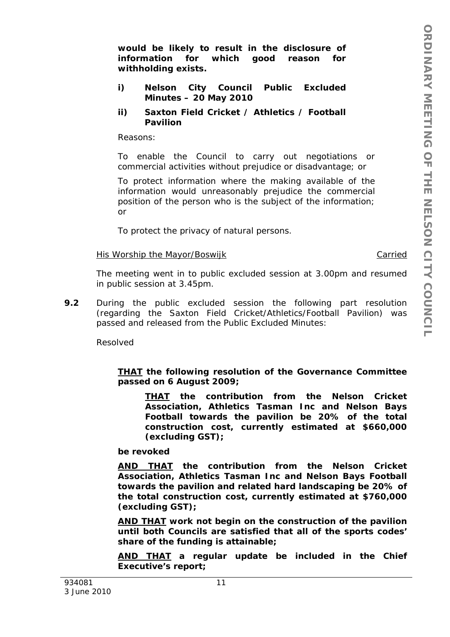*would be likely to result in the disclosure of information for which good reason for withholding exists.* 

- *i) Nelson City Council Public Excluded Minutes – 20 May 2010*
- *ii) Saxton Field Cricket / Athletics / Football Pavilion*

*Reasons:* 

*To enable the Council to carry out negotiations or commercial activities without prejudice or disadvantage; or* 

*To protect information where the making available of the information would unreasonably prejudice the commercial position of the person who is the subject of the information; or* 

*To protect the privacy of natural persons.* 

#### His Worship the Mayor/Boswijk Carried

The meeting went in to public excluded session at 3.00pm and resumed in public session at 3.45pm.

**9.2** During the public excluded session the following part resolution (regarding the Saxton Field Cricket/Athletics/Football Pavilion) was passed and released from the Public Excluded Minutes:

Resolved

### *THAT the following resolution of the Governance Committee passed on 6 August 2009;*

*THAT the contribution from the Nelson Cricket Association, Athletics Tasman Inc and Nelson Bays Football towards the pavilion be 20% of the total construction cost, currently estimated at \$660,000 (excluding GST);* 

*be revoked* 

*AND THAT the contribution from the Nelson Cricket Association, Athletics Tasman Inc and Nelson Bays Football towards the pavilion and related hard landscaping be 20% of the total construction cost, currently estimated at \$760,000 (excluding GST);* 

*AND THAT work not begin on the construction of the pavilion until both Councils are satisfied that all of the sports codes' share of the funding is attainable;* 

*AND THAT a regular update be included in the Chief Executive's report;*